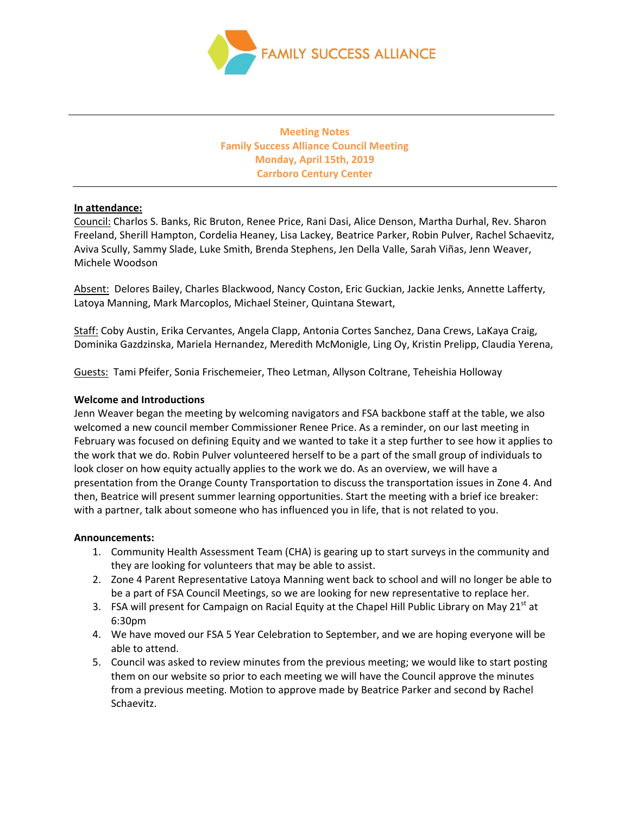

**Meeting Notes Family Success Alliance Council Meeting Monday, April 15th, 2019 Carrboro Century Center**

# **In attendance:**

Council: Charlos S. Banks, Ric Bruton, Renee Price, Rani Dasi, Alice Denson, Martha Durhal, Rev. Sharon Freeland, Sherill Hampton, Cordelia Heaney, Lisa Lackey, Beatrice Parker, Robin Pulver, Rachel Schaevitz, Aviva Scully, Sammy Slade, Luke Smith, Brenda Stephens, Jen Della Valle, Sarah Viñas, Jenn Weaver, Michele Woodson

Absent: Delores Bailey, Charles Blackwood, Nancy Coston, Eric Guckian, Jackie Jenks, Annette Lafferty, Latoya Manning, Mark Marcoplos, Michael Steiner, Quintana Stewart,

Staff: Coby Austin, Erika Cervantes, Angela Clapp, Antonia Cortes Sanchez, Dana Crews, LaKaya Craig, Dominika Gazdzinska, Mariela Hernandez, Meredith McMonigle, Ling Oy, Kristin Prelipp, Claudia Yerena,

Guests: Tami Pfeifer, Sonia Frischemeier, Theo Letman, Allyson Coltrane, Teheishia Holloway

# **Welcome and Introductions**

Jenn Weaver began the meeting by welcoming navigators and FSA backbone staff at the table, we also welcomed a new council member Commissioner Renee Price. As a reminder, on our last meeting in February was focused on defining Equity and we wanted to take it a step further to see how it applies to the work that we do. Robin Pulver volunteered herself to be a part of the small group of individuals to look closer on how equity actually applies to the work we do. As an overview, we will have a presentation from the Orange County Transportation to discuss the transportation issues in Zone 4. And then, Beatrice will present summer learning opportunities. Start the meeting with a brief ice breaker: with a partner, talk about someone who has influenced you in life, that is not related to you.

## **Announcements:**

- 1. Community Health Assessment Team (CHA) is gearing up to start surveys in the community and they are looking for volunteers that may be able to assist.
- 2. Zone 4 Parent Representative Latoya Manning went back to school and will no longer be able to be a part of FSA Council Meetings, so we are looking for new representative to replace her.
- 3. FSA will present for Campaign on Racial Equity at the Chapel Hill Public Library on May 21<sup>st</sup> at 6:30pm
- 4. We have moved our FSA 5 Year Celebration to September, and we are hoping everyone will be able to attend.
- 5. Council was asked to review minutes from the previous meeting; we would like to start posting them on our website so prior to each meeting we will have the Council approve the minutes from a previous meeting. Motion to approve made by Beatrice Parker and second by Rachel Schaevitz.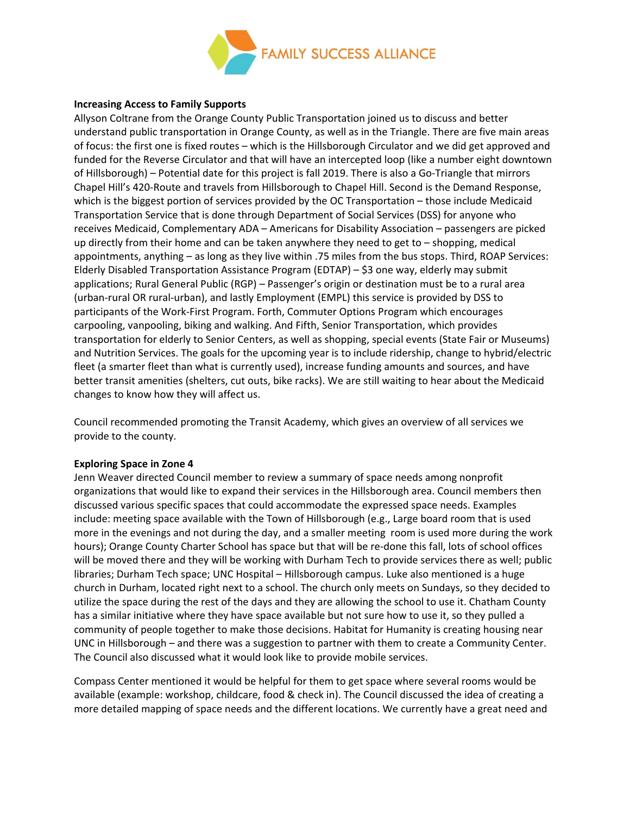

## **Increasing Access to Family Supports**

Allyson Coltrane from the Orange County Public Transportation joined us to discuss and better understand public transportation in Orange County, as well as in the Triangle. There are five main areas of focus: the first one is fixed routes – which is the Hillsborough Circulator and we did get approved and funded for the Reverse Circulator and that will have an intercepted loop (like a number eight downtown of Hillsborough) – Potential date for this project is fall 2019. There is also a Go-Triangle that mirrors Chapel Hill's 420-Route and travels from Hillsborough to Chapel Hill. Second is the Demand Response, which is the biggest portion of services provided by the OC Transportation – those include Medicaid Transportation Service that is done through Department of Social Services (DSS) for anyone who receives Medicaid, Complementary ADA – Americans for Disability Association – passengers are picked up directly from their home and can be taken anywhere they need to get to – shopping, medical appointments, anything – as long as they live within .75 miles from the bus stops. Third, ROAP Services: Elderly Disabled Transportation Assistance Program (EDTAP) – \$3 one way, elderly may submit applications; Rural General Public (RGP) – Passenger's origin or destination must be to a rural area (urban-rural OR rural-urban), and lastly Employment (EMPL) this service is provided by DSS to participants of the Work-First Program. Forth, Commuter Options Program which encourages carpooling, vanpooling, biking and walking. And Fifth, Senior Transportation, which provides transportation for elderly to Senior Centers, as well as shopping, special events (State Fair or Museums) and Nutrition Services. The goals for the upcoming year is to include ridership, change to hybrid/electric fleet (a smarter fleet than what is currently used), increase funding amounts and sources, and have better transit amenities (shelters, cut outs, bike racks). We are still waiting to hear about the Medicaid changes to know how they will affect us.

Council recommended promoting the Transit Academy, which gives an overview of all services we provide to the county.

## **Exploring Space in Zone 4**

Jenn Weaver directed Council member to review a summary of space needs among nonprofit organizations that would like to expand their services in the Hillsborough area. Council members then discussed various specific spaces that could accommodate the expressed space needs. Examples include: meeting space available with the Town of Hillsborough (e.g., Large board room that is used more in the evenings and not during the day, and a smaller meeting room is used more during the work hours); Orange County Charter School has space but that will be re-done this fall, lots of school offices will be moved there and they will be working with Durham Tech to provide services there as well; public libraries; Durham Tech space; UNC Hospital – Hillsborough campus. Luke also mentioned is a huge church in Durham, located right next to a school. The church only meets on Sundays, so they decided to utilize the space during the rest of the days and they are allowing the school to use it. Chatham County has a similar initiative where they have space available but not sure how to use it, so they pulled a community of people together to make those decisions. Habitat for Humanity is creating housing near UNC in Hillsborough – and there was a suggestion to partner with them to create a Community Center. The Council also discussed what it would look like to provide mobile services.

Compass Center mentioned it would be helpful for them to get space where several rooms would be available (example: workshop, childcare, food & check in). The Council discussed the idea of creating a more detailed mapping of space needs and the different locations. We currently have a great need and